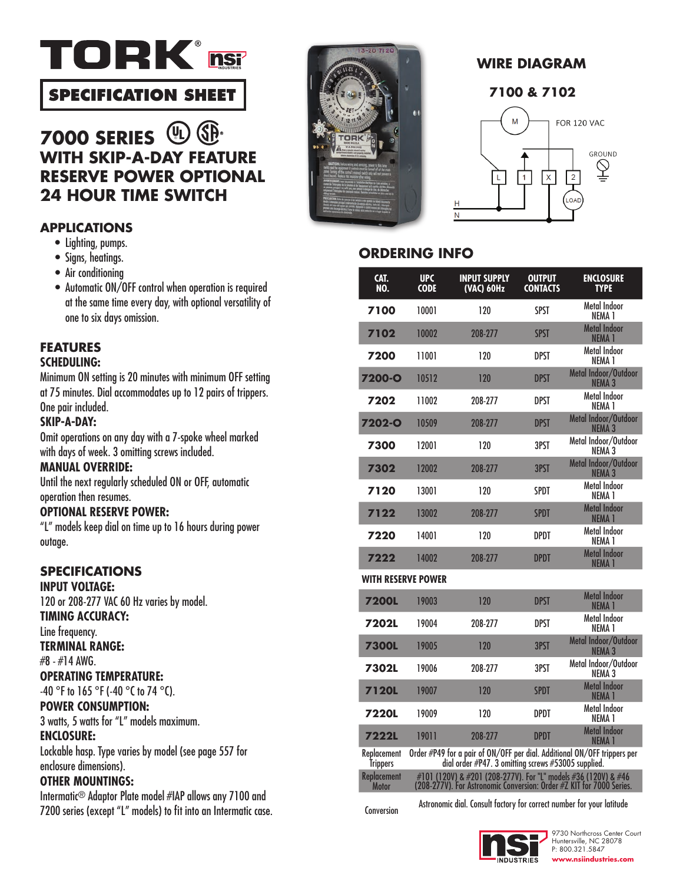

# **SPECIFICATION SHEET**

### GP-**UL 7000 SERIES WITH SKIP-A-DAY FEATURE RESERVE POWER OPTIONAL 24 HOUR TIME SWITCH**

# **APPLICATIONS**

- Lighting, pumps.
- Signs, heatings.
- Air conditioning
- Automatic ON/OFF control when operation is required at the same time every day, with optional versatility of one to six days omission. **7200**

#### **FEATURES SCHEDULING:**

Minimum ON setting is 20 minutes with minimum OFF setting at 75 minutes. Dial accommodates up to 12 pairs of trippers. One pair included.

### **SKIP-A-DAY:**

Omit operations on any day with a 7-spoke wheel marked with days of week. 3 omitting screws included.

### **MANUAL OVERRIDE:**

Until the next regularly scheduled ON or OFF, automatic operation then resumes. **7220**

### **OPTIONAL RESERVE POWER:**

"L" models keep dial on time up to 16 hours during power outage.

## **SPECIFICATIONS**

**INPUT VOLTAGE:**  120 or 208-277 VAC 60 Hz varies by model.

### **TIMING ACCURACY:**

Line frequency.

### **TERMINAL RANGE:**

#8 - #14 AWG.

### **OPERATING TEMPERATURE:**

-40 °F to 165 °F (-40 °C to 74 °C).

### **POWER CONSUMPTION:**

3 watts, 5 watts for "L" models maximum. **ENCLOSURE:** 

Lockable hasp. Type varies by model (see page 557 for enclosure dimensions).

### **OTHER MOUNTINGS:**

Intermatic® Adaptor Plate model #IAP allows any 7100 and 7200 series (except "L" models) to fit into an Intermatic case.







# **ORDERING INFO**

| CAT.<br>NO.                        | <b>UPC</b><br><b>CODE</b>                                                                                                       | <b>INPUT SUPPLY</b><br>(VAC) 60Hz                                     | <b>OUTPUT</b><br><b>CONTACTS</b> | <b>ENCLOSURE</b><br><b>TYPF</b>                                                                                                        |  |
|------------------------------------|---------------------------------------------------------------------------------------------------------------------------------|-----------------------------------------------------------------------|----------------------------------|----------------------------------------------------------------------------------------------------------------------------------------|--|
| 7100                               | 10001                                                                                                                           | 120                                                                   | SPST                             | Metal Indoor<br>NFMA 1                                                                                                                 |  |
| 7102                               | 10002                                                                                                                           | 208-277                                                               | <b>SPST</b>                      | <b>Metal Indoor</b><br><b>NEMA 1</b>                                                                                                   |  |
| 7200                               | 11001                                                                                                                           | 120                                                                   | DPST                             | <b>Metal Indoor</b><br>NFMA 1                                                                                                          |  |
| <b>7200-0</b>                      | 10512                                                                                                                           | 120                                                                   | <b>DPST</b>                      | Metal Indoor/Outdoor<br><b>NEMA 3</b>                                                                                                  |  |
| 7202                               | 11002                                                                                                                           | 208-277                                                               | <b>DPST</b>                      | <b>Metal Indoor</b><br>NEMA <sub>1</sub>                                                                                               |  |
| 7202-0                             | 10509                                                                                                                           | 208-277                                                               | DPST                             | Metal Indoor/Outdoor<br>NEMA <sub>3</sub>                                                                                              |  |
| 7300                               | 12001                                                                                                                           | 120                                                                   | 3PST                             | Metal Indoor/Outdoor<br>NEMA <sub>3</sub>                                                                                              |  |
| 7302                               | 12002                                                                                                                           | 208-277                                                               | 3PST                             | Metal Indoor/Outdoor<br><b>NEMA 3</b>                                                                                                  |  |
| 7120                               | 13001                                                                                                                           | 120                                                                   | <b>SPDT</b>                      | Metal Indoor<br>NEMA <sub>1</sub>                                                                                                      |  |
| 7122                               | 13002                                                                                                                           | 208-277                                                               | <b>SPDT</b>                      | <b>Metal Indoor</b><br><b>NEMA1</b>                                                                                                    |  |
| 7220                               | 14001                                                                                                                           | 120                                                                   | DPDT                             | Metal Indoor<br>NEMA 1                                                                                                                 |  |
| 7222                               | 14002                                                                                                                           | 208-277                                                               | <b>DPDT</b>                      | <b>Metal Indoor</b><br><b>NEMA 1</b>                                                                                                   |  |
| <b>WITH RESERVE POWER</b>          |                                                                                                                                 |                                                                       |                                  |                                                                                                                                        |  |
| <b>7200L</b>                       | 19003                                                                                                                           | 120                                                                   | <b>DPST</b>                      | Metal Indoor<br>NEMA <sub>1</sub>                                                                                                      |  |
| 7202L                              | 19004                                                                                                                           | 208-277                                                               | DPST                             | Metal Indoor<br>NEMA 1                                                                                                                 |  |
| <b>7300L</b>                       | 19005                                                                                                                           | 120                                                                   | 3PST                             | Metal Indoor/Outdoor<br><b>NEMA 3</b>                                                                                                  |  |
| 7302L                              | 19006                                                                                                                           | 208-277                                                               | 3PST                             | Metal Indoor/Outdoor<br>NEMA <sub>3</sub>                                                                                              |  |
| <b>7120L</b>                       | 19007                                                                                                                           | 120                                                                   | <b>SPDT</b>                      | <b>Metal Indoor</b><br>NEMA <sub>1</sub>                                                                                               |  |
| <b>7220L</b>                       | 19009                                                                                                                           | 120                                                                   | DPDT                             | Metal Indoor<br>NEMA 1                                                                                                                 |  |
| <b>7222L</b>                       | 19011                                                                                                                           | 208-277                                                               | <b>DPDT</b>                      | <b>Metal Indoor</b><br><b>NEMA 1</b>                                                                                                   |  |
| Replacement<br><b>Trippers</b>     | Order #P49 for a pair of ON/OFF per dial. Additional ON/OFF trippers per<br>dial order #P47. 3 omitting screws #53005 supplied. |                                                                       |                                  |                                                                                                                                        |  |
| <b>Replacement</b><br><b>Motor</b> |                                                                                                                                 |                                                                       |                                  | #101 (120V) & #201 (208-277V). For "L" models #36 (120V) & #46<br>(208-277V). For Astronomic Conversion: Order #Z KIT for 7000 Series. |  |
| Conversion                         |                                                                                                                                 | Astronomic dial. Consult factory for correct number for your latitude |                                  |                                                                                                                                        |  |